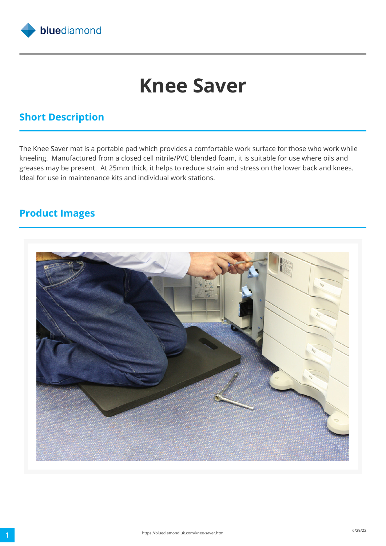

# **Knee Saver**

## **Short Description**

The Knee Saver mat is a portable pad which provides a comfortable work surface for those who work while kneeling. Manufactured from a closed cell nitrile/PVC blended foam, it is suitable for use where oils and greases may be present. At 25mm thick, it helps to reduce strain and stress on the lower back and knees. Ideal for use in maintenance kits and individual work stations.

#### **Product Images**